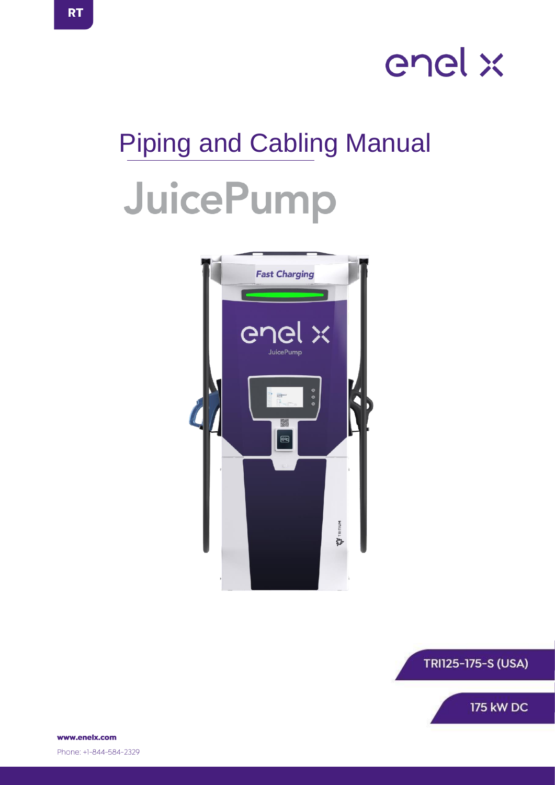

# Piping and Cabling Manual JuicePump





www.enelx.com Phone: +1-844-584-2329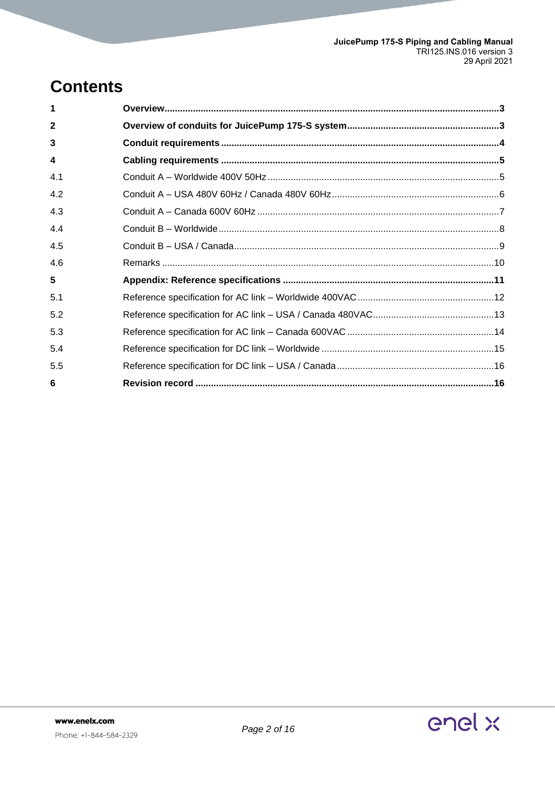# **Contents**

| $\mathbf{2}$ |  |
|--------------|--|
| 3            |  |
| 4            |  |
| 4.1          |  |
| 4.2          |  |
| 4.3          |  |
| 4.4          |  |
| 4.5          |  |
| 4.6          |  |
| 5            |  |
| 5.1          |  |
| 5.2          |  |
| 5.3          |  |
| 5.4          |  |
| 5.5          |  |
| 6            |  |
|              |  |

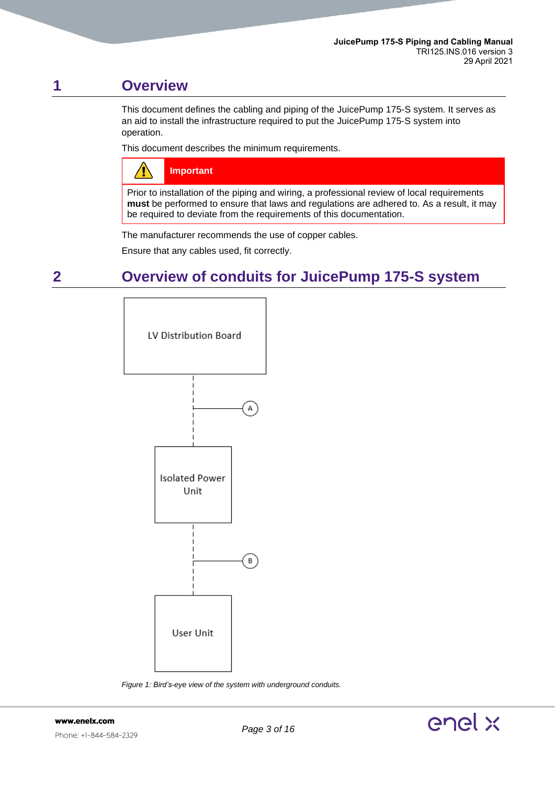# <span id="page-2-0"></span>**1 Overview**

This document defines the cabling and piping of the JuicePump 175-S system. It serves as an aid to install the infrastructure required to put the JuicePump 175-S system into operation.

This document describes the minimum requirements.

| $\bigwedge$ | Important |
|-------------|-----------|
|-------------|-----------|

Prior to installation of the piping and wiring, a professional review of local requirements **must** be performed to ensure that laws and regulations are adhered to. As a result, it may be required to deviate from the requirements of this documentation.

The manufacturer recommends the use of copper cables.

Ensure that any cables used, fit correctly.

# <span id="page-2-1"></span>**2 Overview of conduits for JuicePump 175-S system**



*Figure 1: Bird's-eye view of the system with underground conduits.*

www.enelx.com Phone: +1-844-584-2329

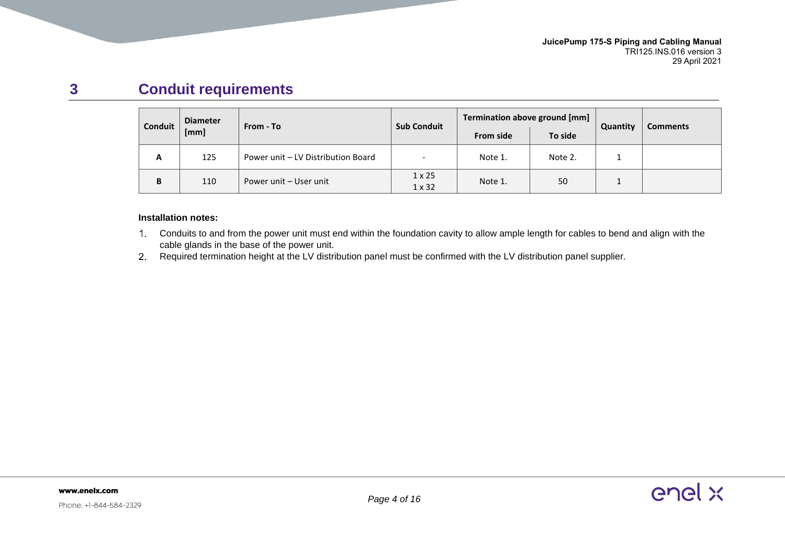# **3 Conduit requirements**

| Conduit | <b>Diameter</b> | From - To                          | <b>Sub Conduit</b>             | Termination above ground [mm] |         | Quantity | <b>Comments</b> |
|---------|-----------------|------------------------------------|--------------------------------|-------------------------------|---------|----------|-----------------|
|         | [mm]            |                                    |                                | <b>From side</b>              | To side |          |                 |
| A       | 125             | Power unit – LV Distribution Board | $\overline{\phantom{0}}$       | Note 1.                       | Note 2. | --       |                 |
| В       | 110             | Power unit - User unit             | $1 \times 25$<br>$1 \times 32$ | Note 1.                       | 50      | <b>.</b> |                 |

### **Installation notes:**

- Conduits to and from the power unit must end within the foundation cavity to allow ample length for cables to bend and align with the cable glands in the base of the power unit.
- <span id="page-3-0"></span>2. Required termination height at the LV distribution panel must be confirmed with the LV distribution panel supplier.

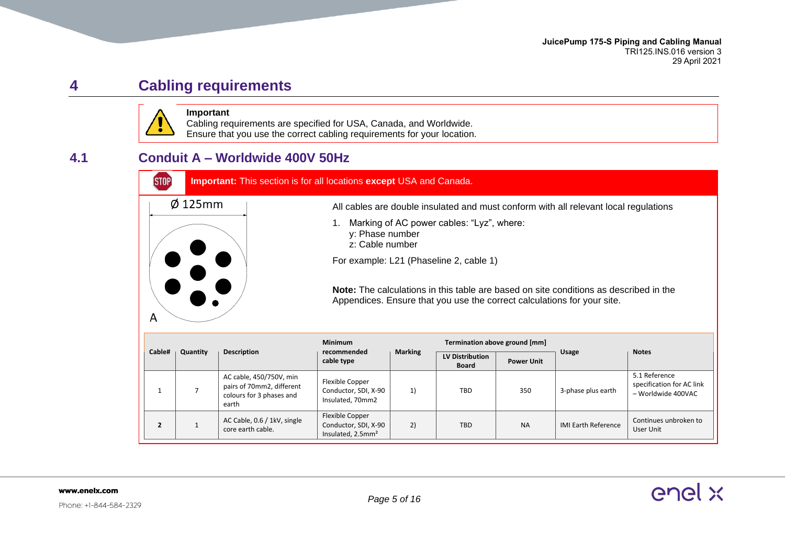enel x

# **4 Cabling requirements**



**Important** Cabling requirements are specified for USA, Canada, and Worldwide. Ensure that you use the correct cabling requirements for your location.

### <span id="page-4-0"></span>**4.1 Conduit A – Worldwide 400V 50Hz**

<span id="page-4-1"></span>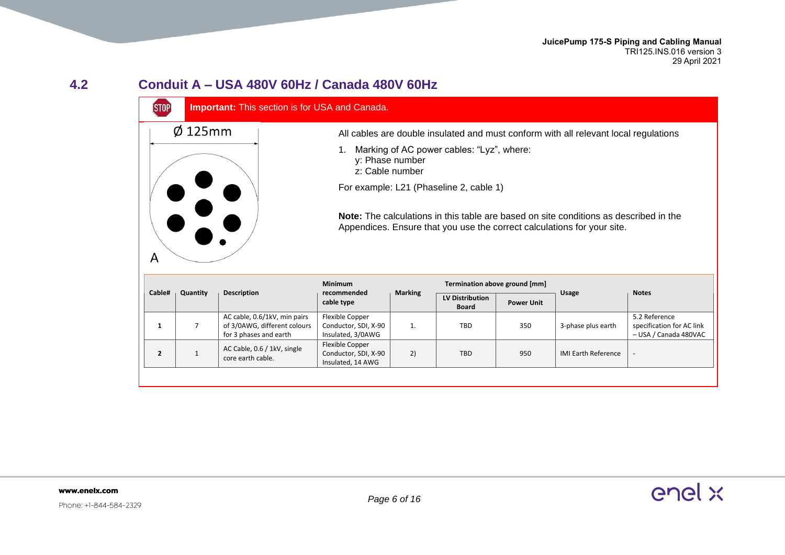# **4.2 Conduit A – USA 480V 60Hz / Canada 480V 60Hz**



<span id="page-5-1"></span><span id="page-5-0"></span>

|                |          |                                                                                        | <b>Minimum</b>                                               |                | Termination above ground [mm]          |                   |                            |                                                                     |
|----------------|----------|----------------------------------------------------------------------------------------|--------------------------------------------------------------|----------------|----------------------------------------|-------------------|----------------------------|---------------------------------------------------------------------|
| Cable#         | Quantity | <b>Description</b>                                                                     | recommended<br>cable type                                    | <b>Marking</b> | <b>LV Distribution</b><br><b>Board</b> | <b>Power Unit</b> | <b>Usage</b>               | <b>Notes</b>                                                        |
|                |          | AC cable, 0.6/1kV, min pairs<br>of 3/0AWG, different colours<br>for 3 phases and earth | Flexible Copper<br>Conductor, SDI, X-90<br>Insulated, 3/0AWG | ı.             | TBD                                    | 350               | 3-phase plus earth         | 5.2 Reference<br>specification for AC link<br>- USA / Canada 480VAC |
| $\overline{2}$ |          | AC Cable, 0.6 / 1kV, single<br>core earth cable.                                       | Flexible Copper<br>Conductor, SDI, X-90<br>Insulated, 14 AWG | 2)             | <b>TBD</b>                             | 950               | <b>IMI Earth Reference</b> | -                                                                   |
|                |          |                                                                                        |                                                              |                |                                        |                   |                            |                                                                     |

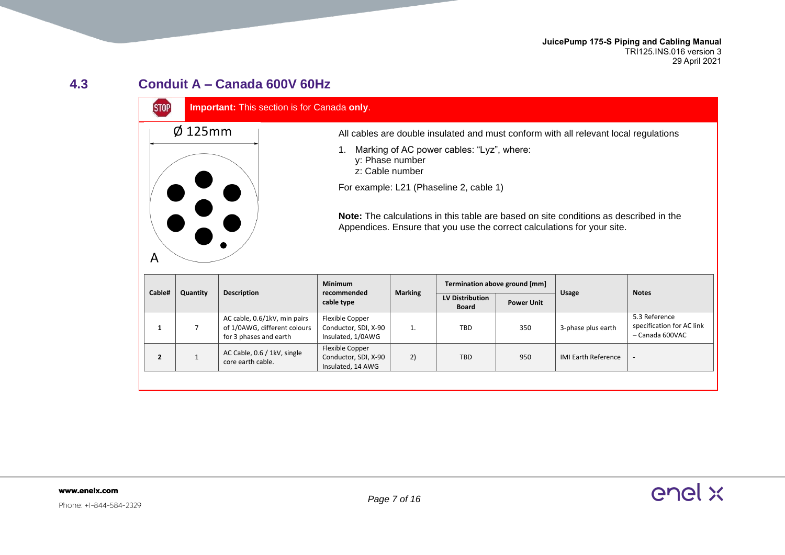**JuicePump 175-S Piping and Cabling Manual** TRI125.INS.016 version 3 29 April 2021

### **4.3 Conduit A – Canada 600V 60Hz**

 $Ø$  125mm

 $\overline{A}$ 

### **STOP Important:** This section is for Canada **only**.

All cables are double insulated and must conform with all relevant local regulations

- 1. Marking of AC power cables: "Lyz", where:
	- y: Phase number
	- z: Cable number

For example: L21 (Phaseline 2, cable 1)

**Note:** The calculations in this table are based on site conditions as described in the Appendices. Ensure that you use the correct calculations for your site.

|                    | Description                                                                            | <b>Minimum</b><br><b>Marking</b><br>recommended<br>cable type |    | Termination above ground [mm]          |                   |                            |                                                               |
|--------------------|----------------------------------------------------------------------------------------|---------------------------------------------------------------|----|----------------------------------------|-------------------|----------------------------|---------------------------------------------------------------|
| Cable#<br>Quantity |                                                                                        |                                                               |    | <b>LV Distribution</b><br><b>Board</b> | <b>Power Unit</b> | <b>Usage</b>               | <b>Notes</b>                                                  |
|                    | AC cable, 0.6/1kV, min pairs<br>of 1/0AWG, different colours<br>for 3 phases and earth | Flexible Copper<br>Conductor, SDI, X-90<br>Insulated, 1/0AWG  | ı. | TBD                                    | 350               | 3-phase plus earth         | 5.3 Reference<br>specification for AC link<br>- Canada 600VAC |
|                    | AC Cable, 0.6 / 1kV, single<br>core earth cable.                                       | Flexible Copper<br>Conductor, SDI, X-90<br>Insulated, 14 AWG  | 2) | <b>TBD</b>                             | 950               | <b>IMI Earth Reference</b> | $\overline{\phantom{a}}$                                      |
|                    |                                                                                        |                                                               |    |                                        |                   |                            |                                                               |

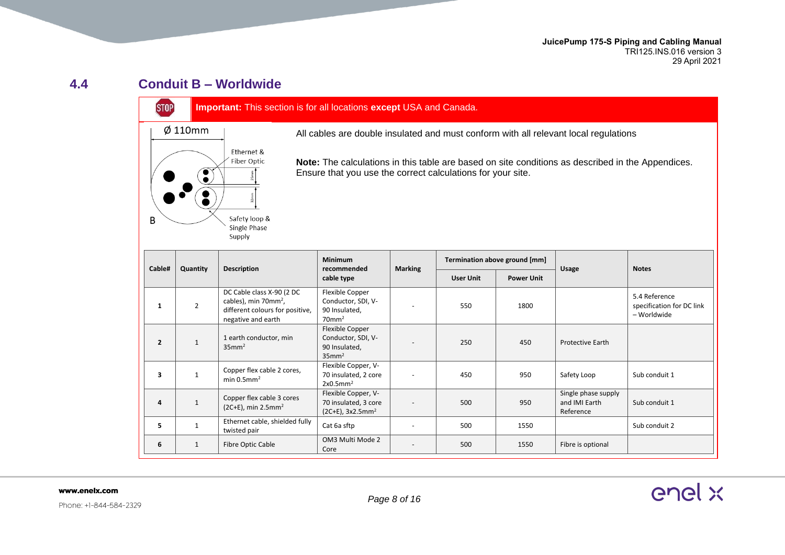### **4.4 Conduit B – Worldwide**

STOP

### **Important:** This section is for all locations **except** USA and Canada.



All cables are double insulated and must conform with all relevant local regulations

**Note:** The calculations in this table are based on site conditions as described in the Appendices. Ensure that you use the correct calculations for your site.

<span id="page-7-0"></span>

| Cable#         | Quantity       | <b>Description</b>                                                                                                     | <b>Minimum</b><br>recommended                                                  | <b>Marking</b>           |                  | Termination above ground [mm] |                                                   | <b>Notes</b>                                              |
|----------------|----------------|------------------------------------------------------------------------------------------------------------------------|--------------------------------------------------------------------------------|--------------------------|------------------|-------------------------------|---------------------------------------------------|-----------------------------------------------------------|
|                |                |                                                                                                                        | cable type                                                                     |                          | <b>User Unit</b> | <b>Power Unit</b>             | <b>Usage</b>                                      |                                                           |
| 1              | $\overline{2}$ | DC Cable class X-90 (2 DC<br>cables), min 70mm <sup>2</sup> ,<br>different colours for positive,<br>negative and earth | Flexible Copper<br>Conductor, SDI, V-<br>90 Insulated,<br>$70$ mm <sup>2</sup> |                          | 550              | 1800                          |                                                   | 5.4 Reference<br>specification for DC link<br>– Worldwide |
| $\overline{2}$ | $\mathbf{1}$   | 1 earth conductor, min<br>$35$ mm <sup>2</sup>                                                                         | Flexible Copper<br>Conductor, SDI, V-<br>90 Insulated,<br>$35$ mm <sup>2</sup> |                          | 250              | 450                           | <b>Protective Earth</b>                           |                                                           |
| 3              | $\mathbf{1}$   | Copper flex cable 2 cores,<br>min $0.5$ mm <sup>2</sup>                                                                | Flexible Copper, V-<br>70 insulated, 2 core<br>2x0.5mm <sup>2</sup>            | $\overline{\phantom{a}}$ | 450              | 950                           | Safety Loop                                       | Sub conduit 1                                             |
| 4              | $\mathbf{1}$   | Copper flex cable 3 cores<br>$(2C+E)$ , min 2.5mm <sup>2</sup>                                                         | Flexible Copper, V-<br>70 insulated, 3 core<br>$(2C+E)$ , 3x2.5mm <sup>2</sup> | $\overline{\phantom{a}}$ | 500              | 950                           | Single phase supply<br>and IMI Earth<br>Reference | Sub conduit 1                                             |
| 5.             |                | Ethernet cable, shielded fully<br>twisted pair                                                                         | Cat 6a sftp                                                                    |                          | 500              | 1550                          |                                                   | Sub conduit 2                                             |
| 6              | $\mathbf{1}$   | Fibre Optic Cable                                                                                                      | OM3 Multi Mode 2<br>Core                                                       | $\overline{\phantom{a}}$ | 500              | 1550                          | Fibre is optional                                 |                                                           |

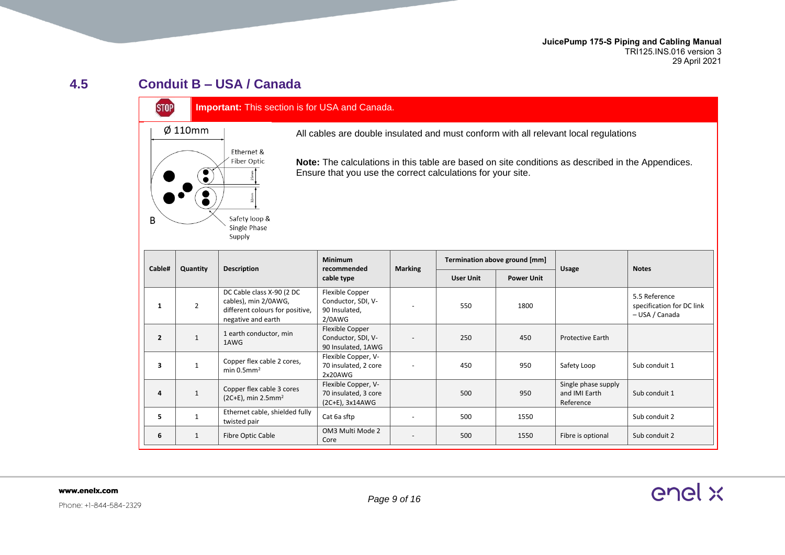**JuicePump 175-S Piping and Cabling Manual** TRI125.INS.016 version 3 29 April 2021

### **4.5 Conduit B – USA / Canada**

**STOP** 

### **Important:** This section is for USA and Canada.



All cables are double insulated and must conform with all relevant local regulations

**Note:** The calculations in this table are based on site conditions as described in the Appendices. Ensure that you use the correct calculations for your site.

<span id="page-8-0"></span>

| Cable#         | Quantity       | <b>Description</b>                                                                                         | <b>Minimum</b><br>recommended                                       |                          | Termination above ground [mm]<br><b>Marking</b> |                   | <b>Usage</b>                                      | <b>Notes</b>                                                 |
|----------------|----------------|------------------------------------------------------------------------------------------------------------|---------------------------------------------------------------------|--------------------------|-------------------------------------------------|-------------------|---------------------------------------------------|--------------------------------------------------------------|
|                |                |                                                                                                            | cable type                                                          |                          | <b>User Unit</b>                                | <b>Power Unit</b> |                                                   |                                                              |
| 1              | $\overline{2}$ | DC Cable class X-90 (2 DC<br>cables), min 2/0AWG,<br>different colours for positive,<br>negative and earth | Flexible Copper<br>Conductor, SDI, V-<br>90 Insulated,<br>$2/0$ AWG |                          | 550                                             | 1800              |                                                   | 5.5 Reference<br>specification for DC link<br>- USA / Canada |
| $\overline{2}$ |                | 1 earth conductor, min<br>1AWG                                                                             | Flexible Copper<br>Conductor, SDI, V-<br>90 Insulated, 1AWG         |                          | 250                                             | 450               | <b>Protective Earth</b>                           |                                                              |
| 3              |                | Copper flex cable 2 cores,<br>min $0.5$ mm <sup>2</sup>                                                    | Flexible Copper, V-<br>70 insulated, 2 core<br>2x20AWG              | $\overline{\phantom{a}}$ | 450                                             | 950               | Safety Loop                                       | Sub conduit 1                                                |
| 4              |                | Copper flex cable 3 cores<br>$(2C+E)$ , min 2.5mm <sup>2</sup>                                             | Flexible Copper, V-<br>70 insulated, 3 core<br>(2C+E), 3x14AWG      |                          | 500                                             | 950               | Single phase supply<br>and IMI Earth<br>Reference | Sub conduit 1                                                |
| 5.             |                | Ethernet cable, shielded fully<br>twisted pair                                                             | Cat 6a sftp                                                         |                          | 500                                             | 1550              |                                                   | Sub conduit 2                                                |
| 6              | $\mathbf{1}$   | Fibre Optic Cable                                                                                          | OM3 Multi Mode 2<br>Core                                            | $\overline{\phantom{0}}$ | 500                                             | 1550              | Fibre is optional                                 | Sub conduit 2                                                |

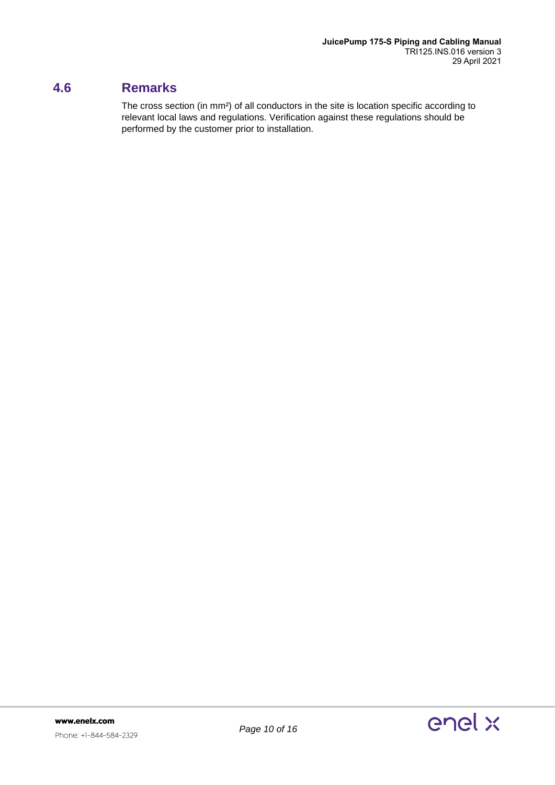### <span id="page-9-0"></span>**4.6 Remarks**

The cross section (in mm²) of all conductors in the site is location specific according to relevant local laws and regulations. Verification against these regulations should be performed by the customer prior to installation.

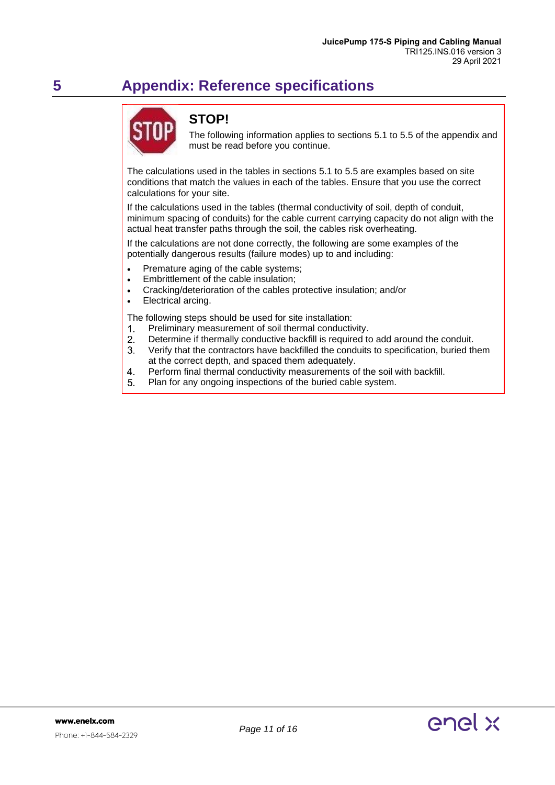# <span id="page-10-0"></span>**5 Appendix: Reference specifications**



### **STOP!**

The following information applies to sections 5.1 to 5.5 of the appendix and must be read before you continue.

The calculations used in the tables in sections 5.1 to 5.5 are examples based on site conditions that match the values in each of the tables. Ensure that you use the correct calculations for your site.

If the calculations used in the tables (thermal conductivity of soil, depth of conduit, minimum spacing of conduits) for the cable current carrying capacity do not align with the actual heat transfer paths through the soil, the cables risk overheating.

If the calculations are not done correctly, the following are some examples of the potentially dangerous results (failure modes) up to and including:

- Premature aging of the cable systems;
- Embrittlement of the cable insulation;
- Cracking/deterioration of the cables protective insulation; and/or
- Electrical arcing.

The following steps should be used for site installation:

- $1<sub>1</sub>$ Preliminary measurement of soil thermal conductivity.
- $2<sub>1</sub>$ Determine if thermally conductive backfill is required to add around the conduit.
- $3<sub>1</sub>$ Verify that the contractors have backfilled the conduits to specification, buried them at the correct depth, and spaced them adequately.
- $\overline{4}$ Perform final thermal conductivity measurements of the soil with backfill.
- 5. Plan for any ongoing inspections of the buried cable system.

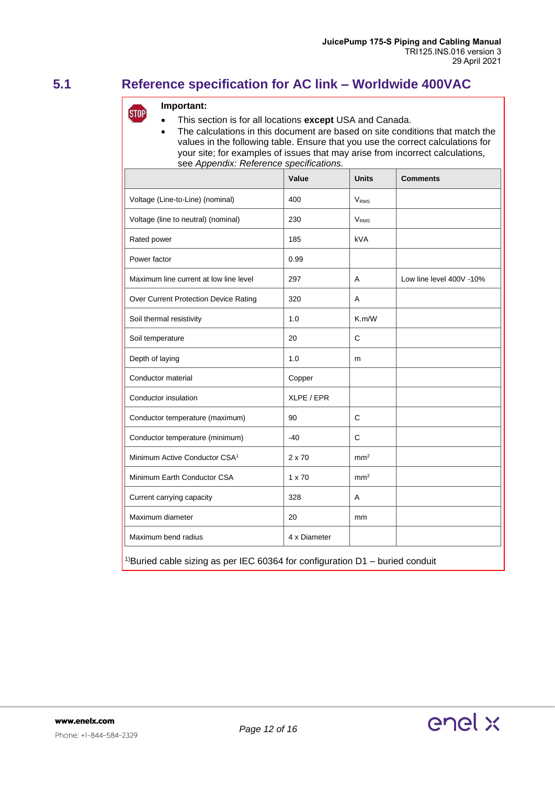### <span id="page-11-0"></span>**5.1 Reference specification for AC link – Worldwide 400VAC**

### **Important: STOP**

- This section is for all locations **except** USA and Canada.
	- The calculations in this document are based on site conditions that match the values in the following table. Ensure that you use the correct calculations for your site; for examples of issues that may arise from incorrect calculations, see *Appendix: Reference specifications.*

|                                                                                            | Value         | <b>Units</b>           | <b>Comments</b>          |  |  |  |  |
|--------------------------------------------------------------------------------------------|---------------|------------------------|--------------------------|--|--|--|--|
| Voltage (Line-to-Line) (nominal)                                                           | 400           | <b>V<sub>RMS</sub></b> |                          |  |  |  |  |
| Voltage (line to neutral) (nominal)                                                        | 230           | $V_{RMS}$              |                          |  |  |  |  |
| Rated power                                                                                | 185           | <b>kVA</b>             |                          |  |  |  |  |
| Power factor                                                                               | 0.99          |                        |                          |  |  |  |  |
| Maximum line current at low line level                                                     | 297           | A                      | Low line level 400V -10% |  |  |  |  |
| Over Current Protection Device Rating                                                      | 320           | A                      |                          |  |  |  |  |
| Soil thermal resistivity                                                                   | 1.0           | K.m/W                  |                          |  |  |  |  |
| Soil temperature                                                                           | 20            | $\mathsf{C}$           |                          |  |  |  |  |
| Depth of laying                                                                            | 1.0           | m                      |                          |  |  |  |  |
| Conductor material                                                                         | Copper        |                        |                          |  |  |  |  |
| Conductor insulation                                                                       | XLPE / EPR    |                        |                          |  |  |  |  |
| Conductor temperature (maximum)                                                            | 90            | $\mathsf{C}$           |                          |  |  |  |  |
| Conductor temperature (minimum)                                                            | $-40$         | $\mathsf{C}$           |                          |  |  |  |  |
| Minimum Active Conductor CSA <sup>1</sup>                                                  | 2 x 70        | mm <sup>2</sup>        |                          |  |  |  |  |
| Minimum Earth Conductor CSA                                                                | $1 \times 70$ | mm <sup>2</sup>        |                          |  |  |  |  |
| Current carrying capacity                                                                  | 328           | Α                      |                          |  |  |  |  |
| Maximum diameter                                                                           | 20            | mm                     |                          |  |  |  |  |
| Maximum bend radius                                                                        | 4 x Diameter  |                        |                          |  |  |  |  |
| <sup>1)</sup> Buried cable sizing as per IEC 60364 for configuration $D1$ – buried conduit |               |                        |                          |  |  |  |  |

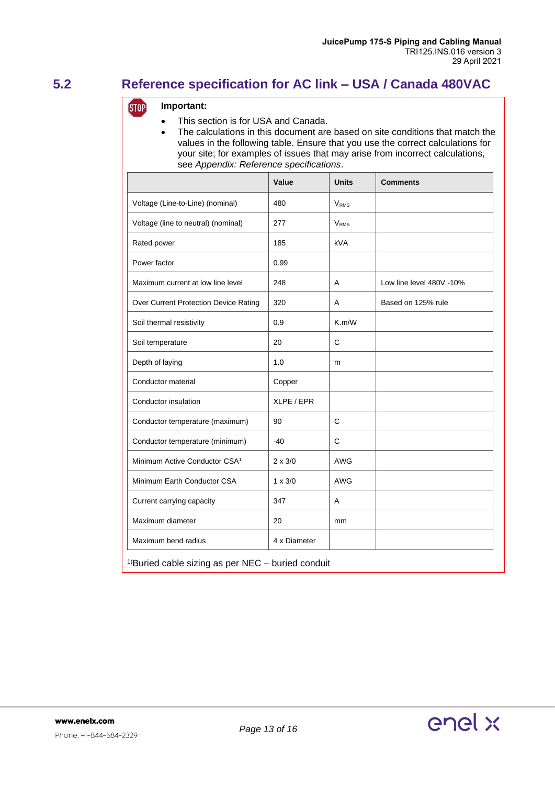## <span id="page-12-0"></span>**5.2 Reference specification for AC link – USA / Canada 480VAC**

### **Important: STOP**

- This section is for USA and Canada.
- The calculations in this document are based on site conditions that match the values in the following table. Ensure that you use the correct calculations for your site; for examples of issues that may arise from incorrect calculations, see *Appendix: Reference specifications*.

|                                                                 | Value          | <b>Units</b>           | <b>Comments</b>          |  |  |  |  |
|-----------------------------------------------------------------|----------------|------------------------|--------------------------|--|--|--|--|
| Voltage (Line-to-Line) (nominal)                                | 480            | <b>V<sub>RMS</sub></b> |                          |  |  |  |  |
| Voltage (line to neutral) (nominal)                             | 277            | <b>V<sub>RMS</sub></b> |                          |  |  |  |  |
| Rated power                                                     | 185            | <b>kVA</b>             |                          |  |  |  |  |
| Power factor                                                    | 0.99           |                        |                          |  |  |  |  |
| Maximum current at low line level                               | 248            | A                      | Low line level 480V -10% |  |  |  |  |
| Over Current Protection Device Rating                           | 320            | A                      | Based on 125% rule       |  |  |  |  |
| Soil thermal resistivity                                        | 0.9            | K.m/W                  |                          |  |  |  |  |
| Soil temperature                                                | 20             | C                      |                          |  |  |  |  |
| Depth of laying                                                 | 1.0            | m                      |                          |  |  |  |  |
| Conductor material                                              | Copper         |                        |                          |  |  |  |  |
| Conductor insulation                                            | XLPE / EPR     |                        |                          |  |  |  |  |
| Conductor temperature (maximum)                                 | 90             | $\mathsf{C}$           |                          |  |  |  |  |
| Conductor temperature (minimum)                                 | $-40$          | C                      |                          |  |  |  |  |
| Minimum Active Conductor CSA <sup>1</sup>                       | $2 \times 3/0$ | <b>AWG</b>             |                          |  |  |  |  |
| Minimum Earth Conductor CSA                                     | $1 \times 3/0$ | <b>AWG</b>             |                          |  |  |  |  |
| Current carrying capacity                                       | 347            | A                      |                          |  |  |  |  |
| Maximum diameter                                                | 20             | mm                     |                          |  |  |  |  |
| Maximum bend radius                                             | 4 x Diameter   |                        |                          |  |  |  |  |
| <sup>1)</sup> Buried cable sizing as per NEC $-$ buried conduit |                |                        |                          |  |  |  |  |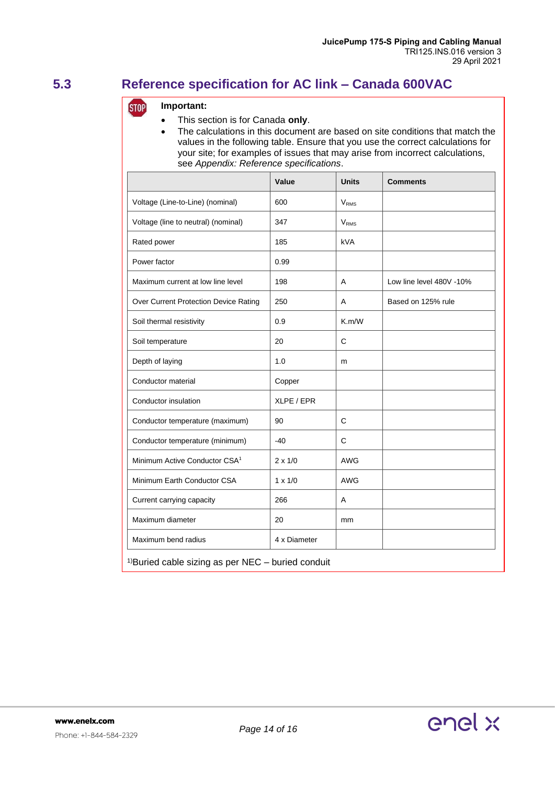### <span id="page-13-0"></span>**5.3 Reference specification for AC link – Canada 600VAC**

### **Important: STOP**

- This section is for Canada **only**.
- The calculations in this document are based on site conditions that match the values in the following table. Ensure that you use the correct calculations for your site; for examples of issues that may arise from incorrect calculations, see *Appendix: Reference specifications*.

|                                                                 | Value          | <b>Units</b>            | <b>Comments</b>          |  |  |  |  |
|-----------------------------------------------------------------|----------------|-------------------------|--------------------------|--|--|--|--|
| Voltage (Line-to-Line) (nominal)                                | 600            | <b>V</b> <sub>RMS</sub> |                          |  |  |  |  |
| Voltage (line to neutral) (nominal)                             | 347            | <b>V<sub>RMS</sub></b>  |                          |  |  |  |  |
| Rated power                                                     | 185            | <b>kVA</b>              |                          |  |  |  |  |
| Power factor                                                    | 0.99           |                         |                          |  |  |  |  |
| Maximum current at low line level                               | 198            | A                       | Low line level 480V -10% |  |  |  |  |
| Over Current Protection Device Rating                           | 250            | A                       | Based on 125% rule       |  |  |  |  |
| Soil thermal resistivity                                        | 0.9            | K.m/W                   |                          |  |  |  |  |
| Soil temperature                                                | 20             | C                       |                          |  |  |  |  |
| Depth of laying                                                 | 1.0            | m                       |                          |  |  |  |  |
| Conductor material                                              | Copper         |                         |                          |  |  |  |  |
| Conductor insulation                                            | XLPE / EPR     |                         |                          |  |  |  |  |
| Conductor temperature (maximum)                                 | 90             | C                       |                          |  |  |  |  |
| Conductor temperature (minimum)                                 | $-40$          | C                       |                          |  |  |  |  |
| Minimum Active Conductor CSA <sup>1</sup>                       | $2 \times 1/0$ | <b>AWG</b>              |                          |  |  |  |  |
| Minimum Earth Conductor CSA                                     | $1 \times 1/0$ | <b>AWG</b>              |                          |  |  |  |  |
| Current carrying capacity                                       | 266            | A                       |                          |  |  |  |  |
| Maximum diameter                                                | 20             | mm                      |                          |  |  |  |  |
| Maximum bend radius                                             | 4 x Diameter   |                         |                          |  |  |  |  |
| <sup>1)</sup> Buried cable sizing as per NEC $-$ buried conduit |                |                         |                          |  |  |  |  |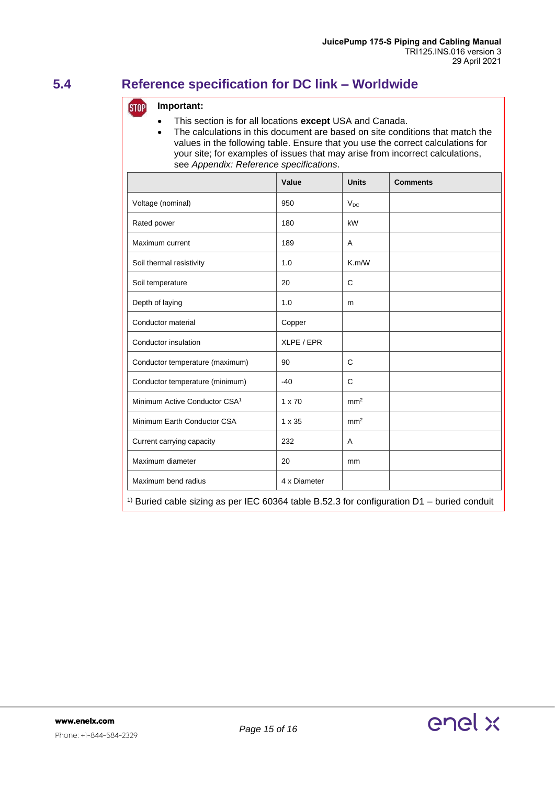### <span id="page-14-0"></span>**5.4 Reference specification for DC link – Worldwide**

### **STOP Important:**

- This section is for all locations **except** USA and Canada.
- The calculations in this document are based on site conditions that match the values in the following table. Ensure that you use the correct calculations for your site; for examples of issues that may arise from incorrect calculations, see *Appendix: Reference specifications*.

|                                                                                                       | Value         | <b>Units</b>    | <b>Comments</b> |  |  |  |  |
|-------------------------------------------------------------------------------------------------------|---------------|-----------------|-----------------|--|--|--|--|
| Voltage (nominal)                                                                                     | 950           | $V_{DC}$        |                 |  |  |  |  |
| Rated power                                                                                           | 180           | kW              |                 |  |  |  |  |
| Maximum current                                                                                       | 189           | A               |                 |  |  |  |  |
| Soil thermal resistivity                                                                              | 1.0           | K.m/W           |                 |  |  |  |  |
| Soil temperature                                                                                      | 20            | C               |                 |  |  |  |  |
| Depth of laying                                                                                       | 1.0           | m               |                 |  |  |  |  |
| Conductor material                                                                                    | Copper        |                 |                 |  |  |  |  |
| Conductor insulation                                                                                  | XLPE / EPR    |                 |                 |  |  |  |  |
| Conductor temperature (maximum)                                                                       | 90            | C               |                 |  |  |  |  |
| Conductor temperature (minimum)                                                                       | $-40$         | C               |                 |  |  |  |  |
| Minimum Active Conductor CSA <sup>1</sup>                                                             | $1 \times 70$ | mm <sup>2</sup> |                 |  |  |  |  |
| Minimum Earth Conductor CSA                                                                           | 1 x 35        | mm <sup>2</sup> |                 |  |  |  |  |
| Current carrying capacity                                                                             | 232           | Α               |                 |  |  |  |  |
| Maximum diameter                                                                                      | 20            | mm              |                 |  |  |  |  |
| Maximum bend radius                                                                                   | 4 x Diameter  |                 |                 |  |  |  |  |
| <sup>1)</sup> Buried cable sizing as per IEC 60364 table B.52.3 for configuration D1 – buried conduit |               |                 |                 |  |  |  |  |